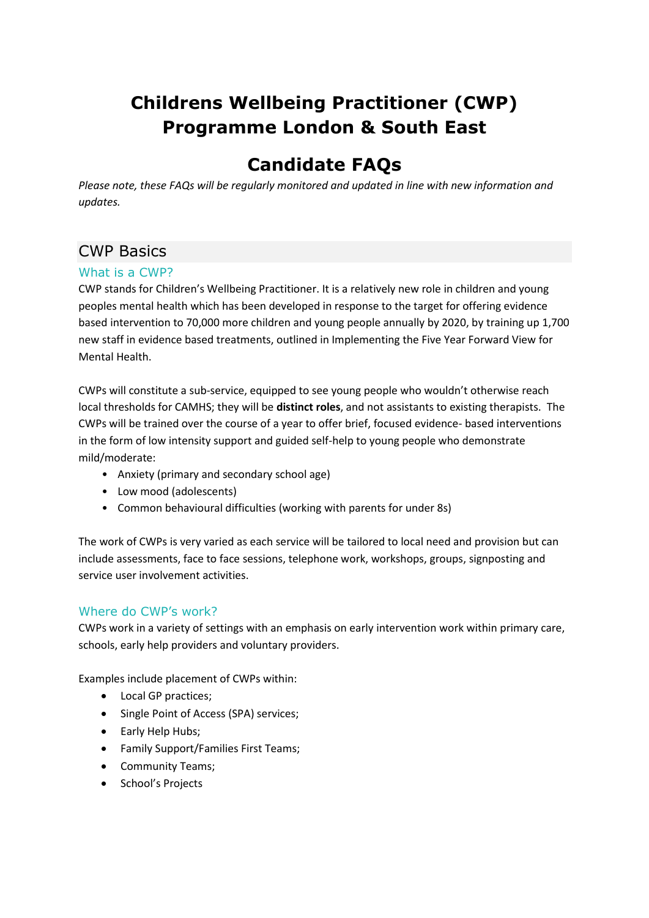# **Childrens Wellbeing Practitioner (CWP) Programme London & South East**

# **Candidate FAQs**

*Please note, these FAQs will be regularly monitored and updated in line with new information and updates.*

# CWP Basics

# What is a CWP?

CWP stands for Children's Wellbeing Practitioner. It is a relatively new role in children and young peoples mental health which has been developed in response to the target for offering evidence based intervention to 70,000 more children and young people annually by 2020, by training up 1,700 new staff in evidence based treatments, outlined in Implementing the Five Year Forward View for Mental Health.

CWPs will constitute a sub-service, equipped to see young people who wouldn't otherwise reach local thresholds for CAMHS; they will be **distinct roles**, and not assistants to existing therapists. The CWPs will be trained over the course of a year to offer brief, focused evidence- based interventions in the form of low intensity support and guided self-help to young people who demonstrate mild/moderate:

- Anxiety (primary and secondary school age)
- Low mood (adolescents)
- Common behavioural difficulties (working with parents for under 8s)

The work of CWPs is very varied as each service will be tailored to local need and provision but can include assessments, face to face sessions, telephone work, workshops, groups, signposting and service user involvement activities.

### Where do CWP's work?

CWPs work in a variety of settings with an emphasis on early intervention work within primary care, schools, early help providers and voluntary providers.

Examples include placement of CWPs within:

- Local GP practices;
- Single Point of Access (SPA) services;
- Early Help Hubs;
- Family Support/Families First Teams;
- Community Teams;
- School's Projects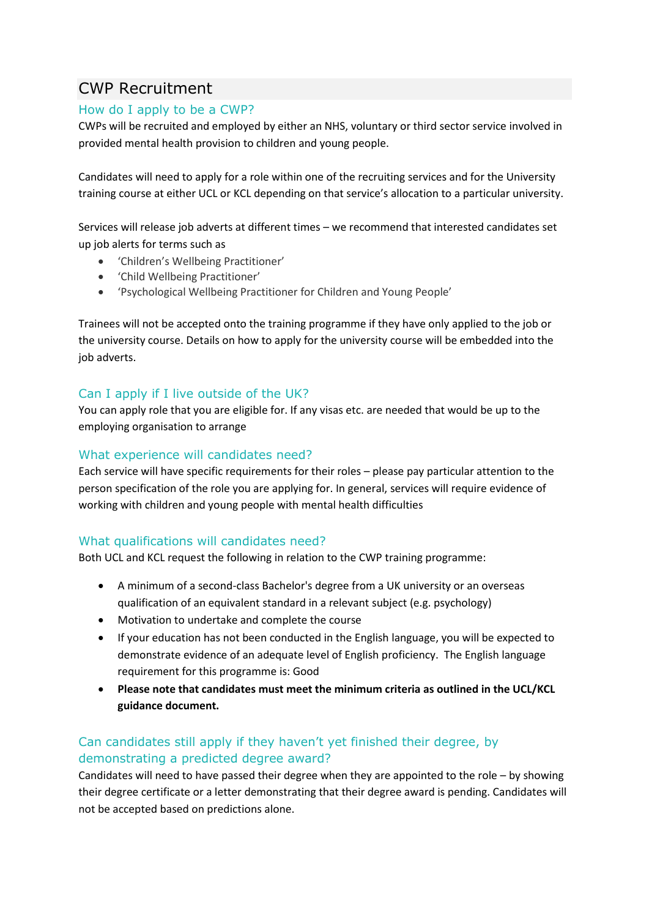# CWP Recruitment

# How do I apply to be a CWP?

CWPs will be recruited and employed by either an NHS, voluntary or third sector service involved in provided mental health provision to children and young people.

Candidates will need to apply for a role within one of the recruiting services and for the University training course at either UCL or KCL depending on that service's allocation to a particular university.

Services will release job adverts at different times – we recommend that interested candidates set up job alerts for terms such as

- 'Children's Wellbeing Practitioner'
- 'Child Wellbeing Practitioner'
- 'Psychological Wellbeing Practitioner for Children and Young People'

Trainees will not be accepted onto the training programme if they have only applied to the job or the university course. Details on how to apply for the university course will be embedded into the job adverts.

# Can I apply if I live outside of the UK?

You can apply role that you are eligible for. If any visas etc. are needed that would be up to the employing organisation to arrange

## What experience will candidates need?

Each service will have specific requirements for their roles – please pay particular attention to the person specification of the role you are applying for. In general, services will require evidence of working with children and young people with mental health difficulties

### What qualifications will candidates need?

Both UCL and KCL request the following in relation to the CWP training programme:

- A minimum of a second-class Bachelor's degree from a UK university or an overseas qualification of an equivalent standard in a relevant subject (e.g. psychology)
- Motivation to undertake and complete the course
- If your education has not been conducted in the English language, you will be expected to demonstrate evidence of an adequate level of English proficiency. The English language requirement for this programme is: Good
- **Please note that candidates must meet the minimum criteria as outlined in the UCL/KCL guidance document.**

# Can candidates still apply if they haven't yet finished their degree, by demonstrating a predicted degree award?

Candidates will need to have passed their degree when they are appointed to the role – by showing their degree certificate or a letter demonstrating that their degree award is pending. Candidates will not be accepted based on predictions alone.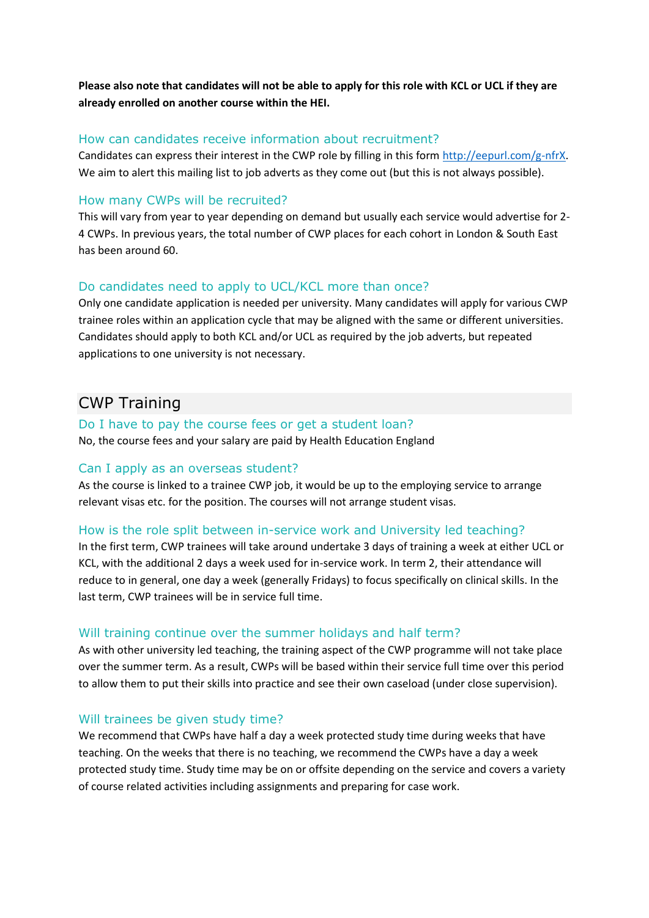**Please also note that candidates will not be able to apply for this role with KCL or UCL if they are already enrolled on another course within the HEI.** 

### How can candidates receive information about recruitment?

Candidates can express their interest in the CWP role by filling in this form [http://eepurl.com/g-nfrX.](http://eepurl.com/g-nfrX) We aim to alert this mailing list to job adverts as they come out (but this is not always possible).

### How many CWPs will be recruited?

This will vary from year to year depending on demand but usually each service would advertise for 2- 4 CWPs. In previous years, the total number of CWP places for each cohort in London & South East has been around 60.

#### Do candidates need to apply to UCL/KCL more than once?

Only one candidate application is needed per university. Many candidates will apply for various CWP trainee roles within an application cycle that may be aligned with the same or different universities. Candidates should apply to both KCL and/or UCL as required by the job adverts, but repeated applications to one university is not necessary.

# CWP Training

### Do I have to pay the course fees or get a student loan?

No, the course fees and your salary are paid by Health Education England

#### Can I apply as an overseas student?

As the course is linked to a trainee CWP job, it would be up to the employing service to arrange relevant visas etc. for the position. The courses will not arrange student visas.

### How is the role split between in-service work and University led teaching?

In the first term, CWP trainees will take around undertake 3 days of training a week at either UCL or KCL, with the additional 2 days a week used for in-service work. In term 2, their attendance will reduce to in general, one day a week (generally Fridays) to focus specifically on clinical skills. In the last term, CWP trainees will be in service full time.

#### Will training continue over the summer holidays and half term?

As with other university led teaching, the training aspect of the CWP programme will not take place over the summer term. As a result, CWPs will be based within their service full time over this period to allow them to put their skills into practice and see their own caseload (under close supervision).

#### Will trainees be given study time?

We recommend that CWPs have half a day a week protected study time during weeks that have teaching. On the weeks that there is no teaching, we recommend the CWPs have a day a week protected study time. Study time may be on or offsite depending on the service and covers a variety of course related activities including assignments and preparing for case work.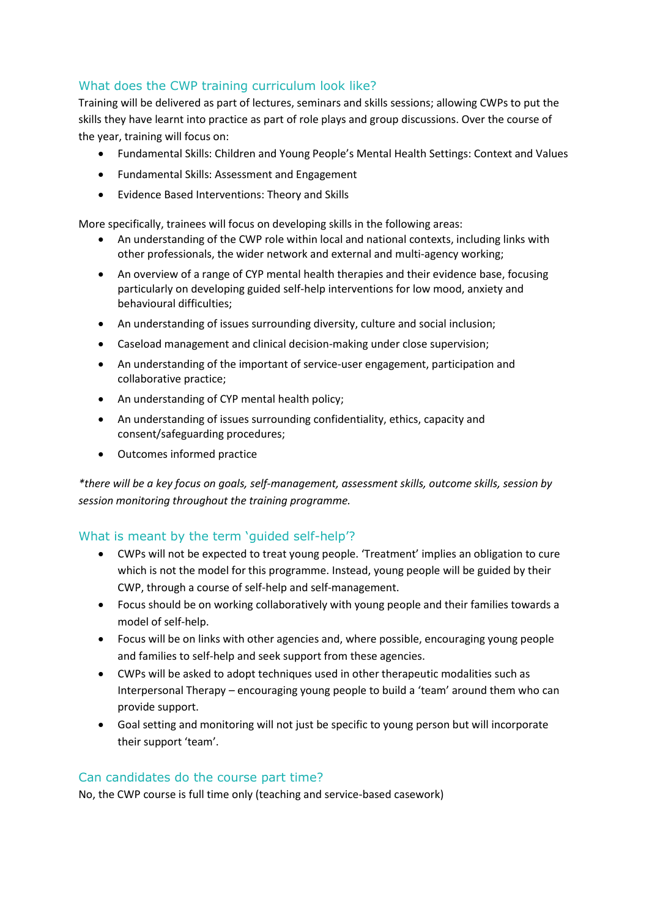# What does the CWP training curriculum look like?

Training will be delivered as part of lectures, seminars and skills sessions; allowing CWPs to put the skills they have learnt into practice as part of role plays and group discussions. Over the course of the year, training will focus on:

- Fundamental Skills: Children and Young People's Mental Health Settings: Context and Values
- Fundamental Skills: Assessment and Engagement
- Evidence Based Interventions: Theory and Skills

More specifically, trainees will focus on developing skills in the following areas:

- An understanding of the CWP role within local and national contexts, including links with other professionals, the wider network and external and multi-agency working;
- An overview of a range of CYP mental health therapies and their evidence base, focusing particularly on developing guided self-help interventions for low mood, anxiety and behavioural difficulties;
- An understanding of issues surrounding diversity, culture and social inclusion;
- Caseload management and clinical decision-making under close supervision;
- An understanding of the important of service-user engagement, participation and collaborative practice;
- An understanding of CYP mental health policy;
- An understanding of issues surrounding confidentiality, ethics, capacity and consent/safeguarding procedures;
- Outcomes informed practice

*\*there will be a key focus on goals, self-management, assessment skills, outcome skills, session by session monitoring throughout the training programme.*

### What is meant by the term 'guided self-help'?

- CWPs will not be expected to treat young people. 'Treatment' implies an obligation to cure which is not the model for this programme. Instead, young people will be guided by their CWP, through a course of self-help and self-management.
- Focus should be on working collaboratively with young people and their families towards a model of self-help.
- Focus will be on links with other agencies and, where possible, encouraging young people and families to self-help and seek support from these agencies.
- CWPs will be asked to adopt techniques used in other therapeutic modalities such as Interpersonal Therapy – encouraging young people to build a 'team' around them who can provide support.
- Goal setting and monitoring will not just be specific to young person but will incorporate their support 'team'.

### Can candidates do the course part time?

No, the CWP course is full time only (teaching and service-based casework)